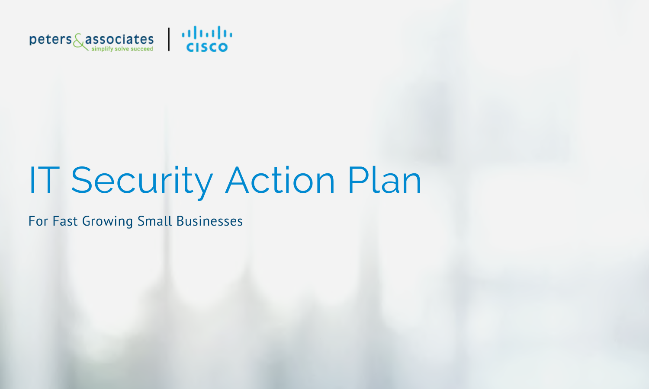

# IT Security Action Plan

For Fast Growing Small Businesses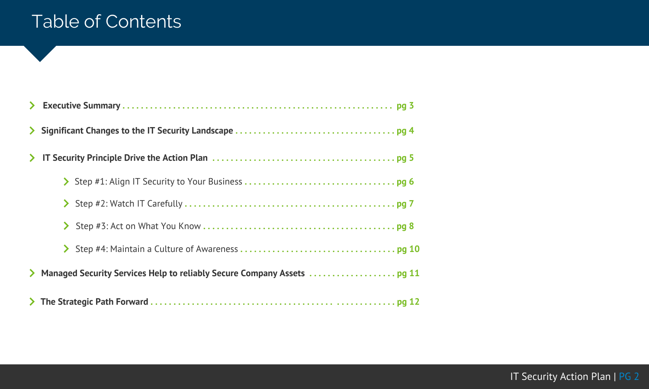### Table of Contents

| $\sum$ |  |
|--------|--|
|        |  |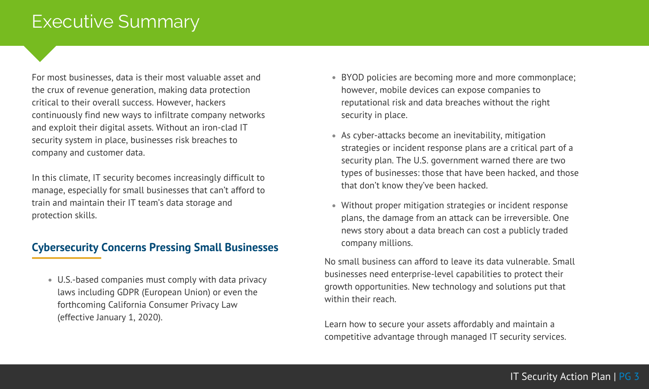### <span id="page-2-0"></span>Executive Summary

For most businesses, data is their most valuable asset and the crux of revenue generation, making data protection critical to their overall success. However, hackers continuously find new ways to infiltrate company networks and exploit their digital assets. Without an iron-clad IT security system in place, businesses risk breaches to company and customer data.

In this climate, IT security becomes increasingly difficult to manage, especially for small businesses that can't afford to train and maintain their IT team's data storage and protection skills.

#### **Cybersecurity Concerns Pressing Small Businesses**

U.S.-based companies must comply with data privacy laws including GDPR (European Union) or even the forthcoming California Consumer Privacy Law (effective January 1, 2020).

- BYOD policies are becoming more and more commonplace; however, mobile devices can expose companies to reputational risk and data breaches without the right security in place.
- As cyber-attacks become an inevitability, mitigation strategies or incident response plans are a critical part of a security plan. The U.S. government warned there are two types of businesses: those that have been hacked, and those that don't know they've been hacked.
- Without proper mitigation strategies or incident response plans, the damage from an attack can be irreversible. One news story about a data breach can cost a publicly traded company millions.

No small business can afford to leave its data vulnerable. Small businesses need enterprise-level capabilities to protect their growth opportunities. New technology and solutions put that within their reach.

Learn how to secure your assets affordably and maintain a competitive advantage through managed IT security services.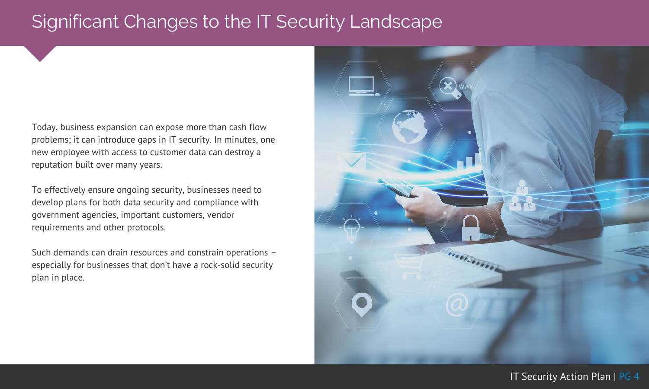### <span id="page-3-0"></span>Significant Changes to the IT Security Landscape

Today, business expansion can expose more than cash flow problems; it can introduce gaps in IT security. In minutes, one new employee with access to customer data can destroy a reputation built over many years.

To effectively ensure ongoing security, businesses need to develop plans for both data security and compliance with government agencies, important customers, vendor requirements and other protocols.

Such demands can drain resources and constrain operations – especially for businesses that don't have a rock-solid security plan in place.

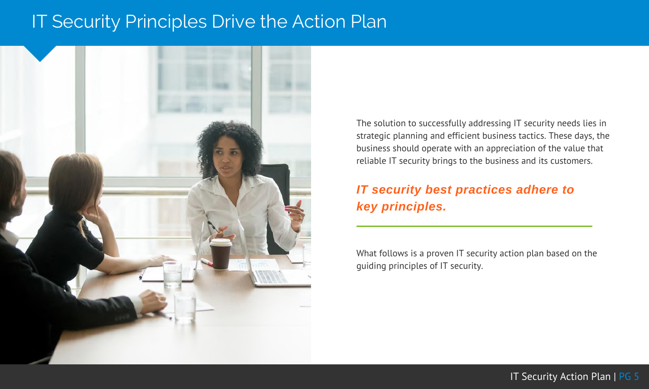### <span id="page-4-0"></span>IT Security Principles Drive the Action Plan



The solution to successfully addressing IT security needs lies in strategic planning and efficient business tactics. These days, the business should operate with an appreciation of the value that reliable IT security brings to the business and its customers.

### *IT security best practices adhere to key principles.*

What follows is a proven IT security action plan based on the guiding principles of IT security.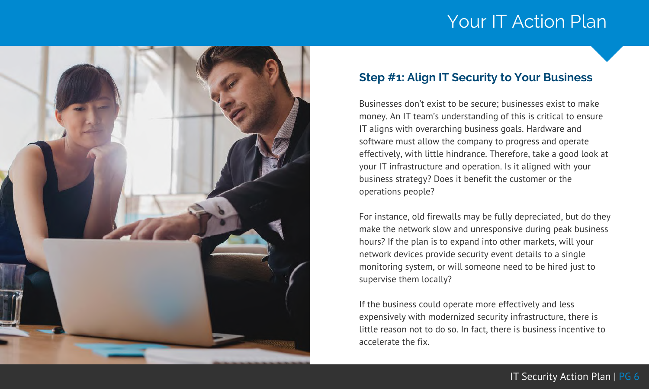<span id="page-5-0"></span>

#### **Step #1: Align IT Security to Your Business**

Businesses don't exist to be secure; businesses exist to make money. An IT team's understanding of this is critical to ensure IT aligns with overarching business goals. Hardware and software must allow the company to progress and operate effectively, with little hindrance. Therefore, take a good look at your IT infrastructure and operation. Is it aligned with your business strategy? Does it benefit the customer or the operations people?

For instance, old firewalls may be fully depreciated, but do they make the network slow and unresponsive during peak business hours? If the plan is to expand into other markets, will your network devices provide security event details to a single monitoring system, or will someone need to be hired just to supervise them locally?

If the business could operate more effectively and less expensively with modernized security infrastructure, there is little reason not to do so. In fact, there is business incentive to accelerate the fix.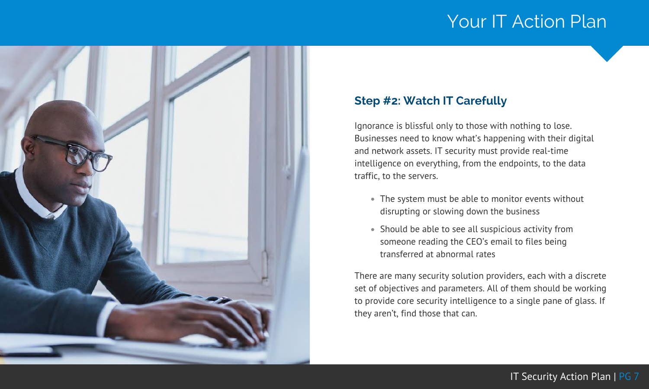<span id="page-6-0"></span>

#### **Step #2: Watch IT Carefully**

Ignorance is blissful only to those with nothing to lose. Businesses need to know what's happening with their digital and network assets. IT security must provide real-time intelligence on everything, from the endpoints, to the data traffic, to the servers.

- The system must be able to monitor events without disrupting or slowing down the business
- Should be able to see all suspicious activity from someone reading the CEO's email to files being transferred at abnormal rates

There are many security solution providers, each with a discrete set of objectives and parameters. All of them should be working to provide core security intelligence to a single pane of glass. If they aren't, find those that can.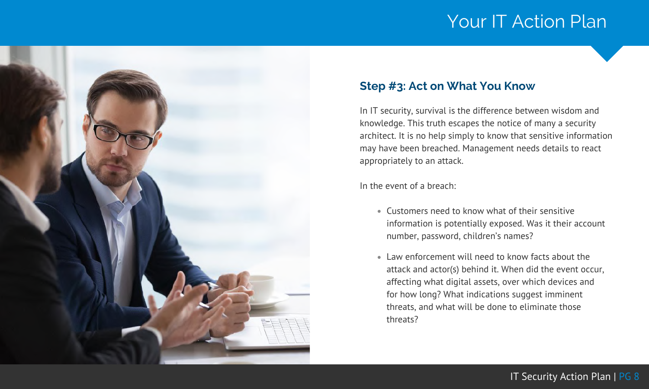<span id="page-7-0"></span>

#### **Step #3: Act on What You Know**

In IT security, survival is the difference between wisdom and knowledge. This truth escapes the notice of many a security architect. It is no help simply to know that sensitive information may have been breached. Management needs details to react appropriately to an attack.

In the event of a breach:

- Customers need to know what of their sensitive information is potentially exposed. Was it their account number, password, children's names?
- Law enforcement will need to know facts about the attack and actor(s) behind it. When did the event occur, affecting what digital assets, over which devices and for how long? What indications suggest imminent threats, and what will be done to eliminate those threats?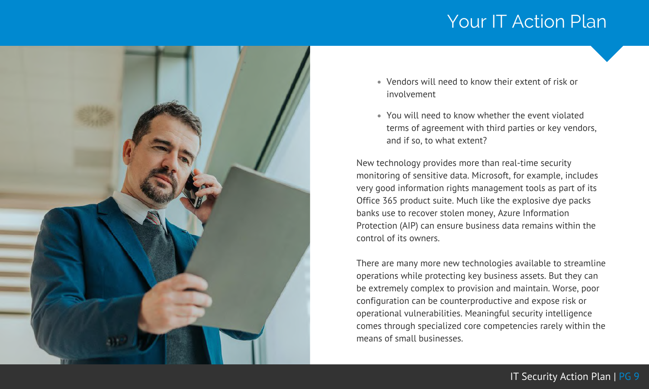

- Vendors will need to know their extent of risk or involvement
- You will need to know whether the event violated terms of agreement with third parties or key vendors, and if so, to what extent?

New technology provides more than real-time security monitoring of sensitive data. Microsoft, for example, includes very good information rights management tools as part of its Office 365 product suite. Much like the explosive dye packs banks use to recover stolen money, Azure Information Protection (AIP) can ensure business data remains within the control of its owners.

There are many more new technologies available to streamline operations while protecting key business assets. But they can be extremely complex to provision and maintain. Worse, poor configuration can be counterproductive and expose risk or operational vulnerabilities. Meaningful security intelligence comes through specialized core competencies rarely within the means of small businesses.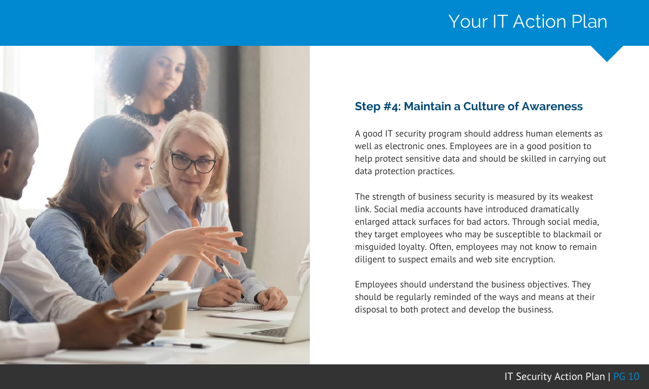<span id="page-9-0"></span>

#### **Step #4: Maintain a Culture of Awareness**

A good IT security program should address human elements as well as electronic ones. Employees are in a good position to help protect sensitive data and should be skilled in carrying out data protection practices.

The strength of business security is measured by its weakest link. Social media accounts have introduced dramatically enlarged attack surfaces for bad actors. Through social media, they target employees who may be susceptible to blackmail or misguided loyalty. Often, employees may not know to remain diligent to suspect emails and web site encryption.

Employees should understand the business objectives. They should be regularly reminded of the ways and means at their disposal to both protect and develop the business.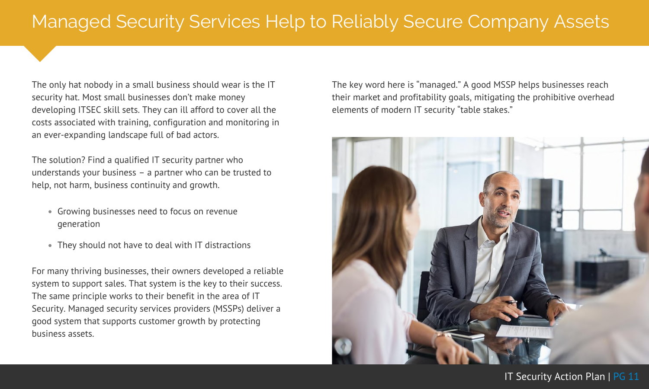## <span id="page-10-0"></span>Managed Security Services Help to Reliably Secure Company Assets

The only hat nobody in a small business should wear is the IT security hat. Most small businesses don't make money developing ITSEC skill sets. They can ill afford to cover all the costs associated with training, configuration and monitoring in an ever-expanding landscape full of bad actors.

The solution? Find a qualified IT security partner who understands your business – a partner who can be trusted to help, not harm, business continuity and growth.

- Growing businesses need to focus on revenue generation
- They should not have to deal with IT distractions

For many thriving businesses, their owners developed a reliable system to support sales. That system is the key to their success. The same principle works to their benefit in the area of IT Security. Managed security services providers (MSSPs) deliver a good system that supports customer growth by protecting business assets.

The key word here is "managed." A good MSSP helps businesses reach their market and profitability goals, mitigating the prohibitive overhead elements of modern IT security "table stakes."

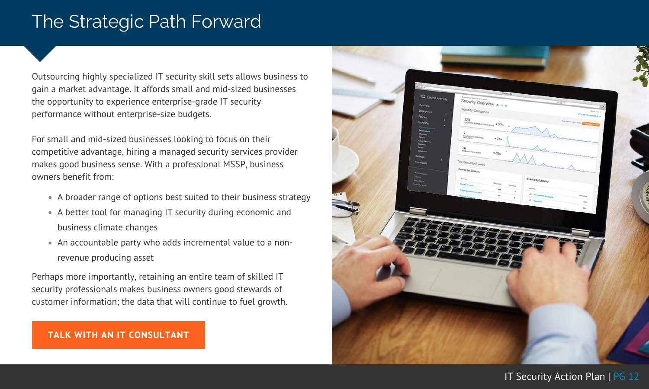### <span id="page-11-0"></span>The Strategic Path Forward

Outsourcing highly specialized IT security skill sets allows business to gain a market advantage. It affords small and mid-sized businesses the opportunity to experience enterprise-grade IT security performance without enterprise-size budgets.

For small and mid-sized businesses looking to focus on their competitive advantage, hiring a managed security services provider makes good business sense. With a professional MSSP, business owners benefit from:

- A broader range of options best suited to their business strategy
- A better tool for managing IT security during economic and business climate changes
- An accountable party who adds incremental value to a nonrevenue producing asset

Perhaps more importantly, retaining an entire team of skilled IT security professionals makes business owners good stewards of customer information; the data that will continue to fuel growth.

#### **TALK WITH AN IT [CONSULTANT](https://www.peters.com/contact/)**